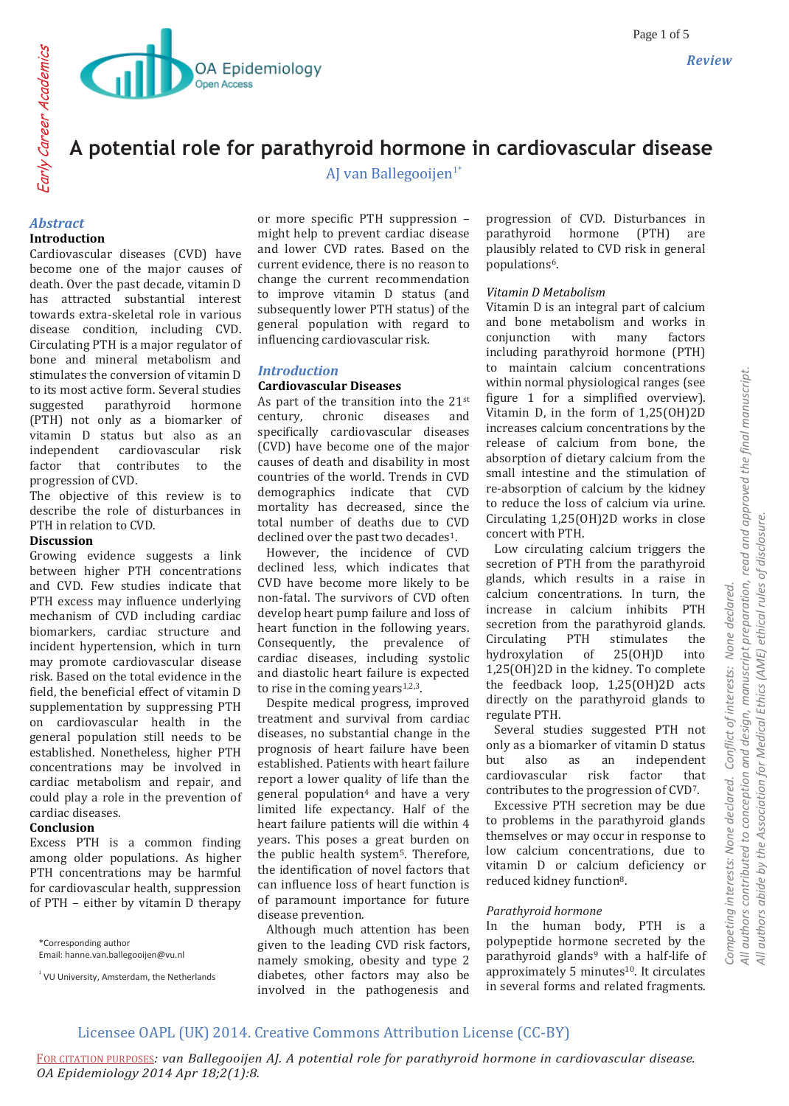

# **A potential role for parathyroid hormone in cardiovascular disease**

AJ van Ballegooijen $1^*$ 

## *Abstract* **Introduction**

Cardiovascular diseases (CVD) have become one of the major causes of death. Over the past decade, vitamin D has attracted substantial interest towards extra-skeletal role in various disease condition, including CVD. Circulating PTH is a major regulator of bone and mineral metabolism and stimulates the conversion of vitamin D to its most active form. Several studies suggested parathyroid hormone (PTH) not only as a biomarker of vitamin D status but also as an independent cardiovascular risk factor that contributes to the progression of CVD.

The objective of this review is to describe the role of disturbances in PTH in relation to CVD.

### **Discussion**

Growing evidence suggests a link between higher PTH concentrations and CVD. Few studies indicate that PTH excess may influence underlying mechanism of CVD including cardiac biomarkers, cardiac structure and incident hypertension, which in turn may promote cardiovascular disease risk. Based on the total evidence in the field, the beneficial effect of vitamin D supplementation by suppressing PTH on cardiovascular health in the general population still needs to be established. Nonetheless, higher PTH concentrations may be involved in cardiac metabolism and repair, and could play a role in the prevention of cardiac diseases.

## **Conclusion**

Excess PTH is a common finding among older populations. As higher PTH concentrations may be harmful for cardiovascular health, suppression of PTH – either by vitamin D therapy

\*Corresponding author Email: hanne.van.ballegooijen@vu.nl

<sup>1</sup> VU University, Amsterdam, the Netherlands

or more specific PTH suppression – might help to prevent cardiac disease and lower CVD rates. Based on the current evidence, there is no reason to change the current recommendation to improve vitamin D status (and subsequently lower PTH status) of the general population with regard to influencing cardiovascular risk.

## *Introduction*

### **Cardiovascular Diseases**

As part of the transition into the  $21^{st}$ century, chronic diseases and specifically cardiovascular diseases (CVD) have become one of the major causes of death and disability in most countries of the world. Trends in CVD demographics indicate that CVD mortality has decreased, since the total number of deaths due to CVD declined over the past two decades<sup>1</sup>.

 However, the incidence of CVD declined less, which indicates that CVD have become more likely to be non-fatal. The survivors of CVD often develop heart pump failure and loss of heart function in the following years. Consequently, the prevalence of cardiac diseases, including systolic and diastolic heart failure is expected to rise in the coming years $1,2,3$ .

 Despite medical progress, improved treatment and survival from cardiac diseases, no substantial change in the prognosis of heart failure have been established. Patients with heart failure report a lower quality of life than the general population<sup>4</sup> and have a very limited life expectancy. Half of the heart failure patients will die within 4 years. This poses a great burden on the public health system5. Therefore, the identification of novel factors that can influence loss of heart function is of paramount importance for future disease prevention.

 Although much attention has been given to the leading CVD risk factors, namely smoking, obesity and type 2 diabetes, other factors may also be involved in the pathogenesis and

progression of CVD. Disturbances in parathyroid hormone (PTH) are plausibly related to CVD risk in general populations6.

### *Vitamin D Metabolism*

Vitamin D is an integral part of calcium and bone metabolism and works in conjunction with many factors including parathyroid hormone (PTH) to maintain calcium concentrations within normal physiological ranges (see figure 1 for a simplified overview). Vitamin D, in the form of 1,25(OH)2D increases calcium concentrations by the release of calcium from bone, the absorption of dietary calcium from the small intestine and the stimulation of re-absorption of calcium by the kidney to reduce the loss of calcium via urine. Circulating 1,25(OH)2D works in close concert with PTH.

 Low circulating calcium triggers the secretion of PTH from the parathyroid glands, which results in a raise in calcium concentrations. In turn, the increase in calcium inhibits PTH secretion from the parathyroid glands. Circulating PTH stimulates the hydroxylation of 25(OH)D into 1,25(OH)2D in the kidney. To complete the feedback loop, 1,25(OH)2D acts directly on the parathyroid glands to regulate PTH.

 Several studies suggested PTH not only as a biomarker of vitamin D status but also as an independent cardiovascular risk factor that contributes to the progression of CVD7.

 Excessive PTH secretion may be due to problems in the parathyroid glands themselves or may occur in response to low calcium concentrations, due to vitamin D or calcium deficiency or reduced kidney function<sup>8</sup>.

## *Parathyroid hormone*

In the human body, PTH is a polypeptide hormone secreted by the parathyroid glands<sup>9</sup> with a half-life of approximately 5 minutes<sup>10</sup>. It circulates in several forms and related fragments.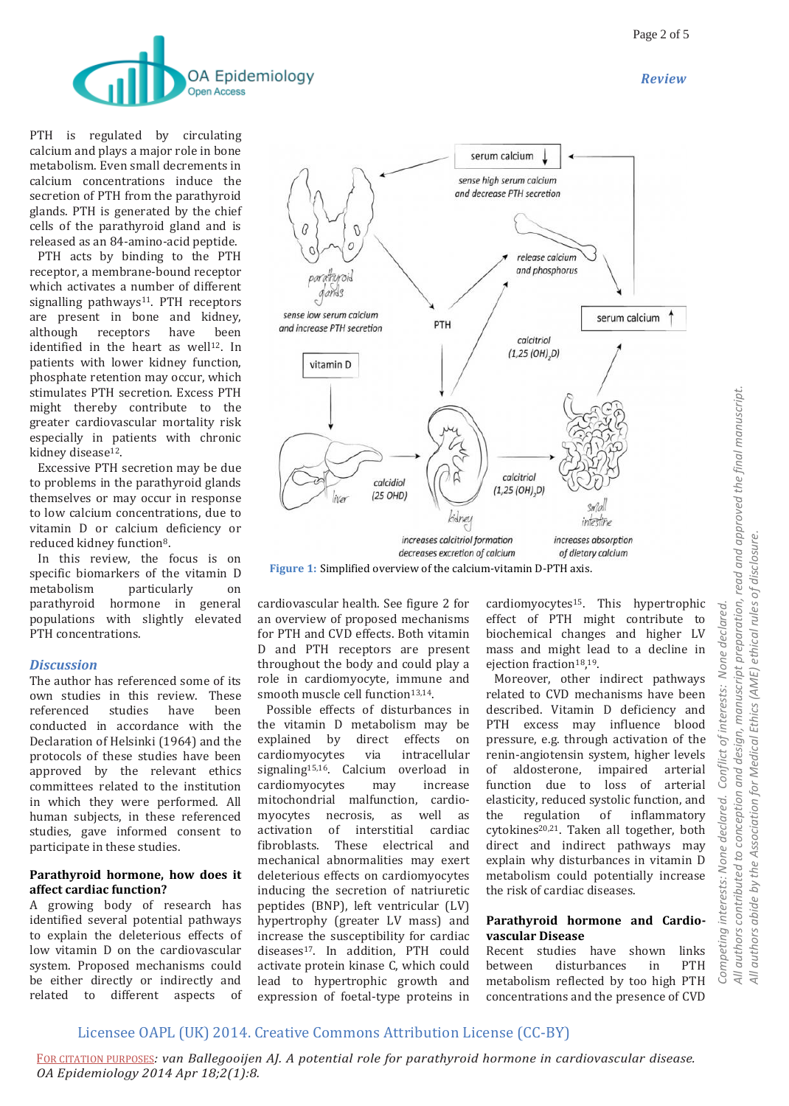*Review*



PTH is regulated by circulating calcium and plays a major role in bone metabolism. Even small decrements in calcium concentrations induce the secretion of PTH from the parathyroid glands. PTH is generated by the chief cells of the parathyroid gland and is released as an 84-amino-acid peptide.

 PTH acts by binding to the PTH receptor, a membrane-bound receptor which activates a number of different signalling pathways<sup>11</sup>. PTH receptors are present in bone and kidney, although receptors have been identified in the heart as well $12$ . In patients with lower kidney function, phosphate retention may occur, which stimulates PTH secretion. Excess PTH might thereby contribute to the greater cardiovascular mortality risk especially in patients with chronic kidney disease<sup>12</sup>.

 Excessive PTH secretion may be due to problems in the parathyroid glands themselves or may occur in response to low calcium concentrations, due to vitamin D or calcium deficiency or reduced kidney function8.

 In this review, the focus is on specific biomarkers of the vitamin D metabolism particularly on parathyroid hormone in general populations with slightly elevated PTH concentrations.

## *Discussion*

The author has referenced some of its own studies in this review. These referenced studies have been conducted in accordance with the Declaration of Helsinki (1964) and the protocols of these studies have been approved by the relevant ethics committees related to the institution in which they were performed. All human subjects, in these referenced studies, gave informed consent to participate in these studies.

#### **Parathyroid hormone, how does it affect cardiac function?**

A growing body of research has identified several potential pathways to explain the deleterious effects of low vitamin D on the cardiovascular system. Proposed mechanisms could be either directly or indirectly and related to different aspects of



**Figure 1:** Simplified overview of the calcium-vitamin D-PTH axis.

cardiovascular health. See figure 2 for an overview of proposed mechanisms for PTH and CVD effects. Both vitamin D and PTH receptors are present throughout the body and could play a role in cardiomyocyte, immune and smooth muscle cell function<sup>13,14</sup>.

 Possible effects of disturbances in the vitamin D metabolism may be explained by direct effects on cardiomyocytes via intracellular signaling15,16. Calcium overload in cardiomyocytes may increase mitochondrial malfunction, cardiomyocytes necrosis, as well as activation of interstitial cardiac fibroblasts. These electrical and mechanical abnormalities may exert deleterious effects on cardiomyocytes inducing the secretion of natriuretic peptides (BNP), left ventricular (LV) hypertrophy (greater LV mass) and increase the susceptibility for cardiac diseases17. In addition, PTH could activate protein kinase C, which could lead to hypertrophic growth and expression of foetal-type proteins in

cardiomyocytes<sup>15</sup>. This hypertrophic effect of PTH might contribute to biochemical changes and higher LV mass and might lead to a decline in ejection fraction<sup>18</sup>,<sup>19</sup>.

 Moreover, other indirect pathways related to CVD mechanisms have been described. Vitamin D deficiency and PTH excess may influence blood pressure, e.g. through activation of the renin-angiotensin system, higher levels of aldosterone, impaired arterial function due to loss of arterial elasticity, reduced systolic function, and the regulation of inflammatory cytokines<sup>20,21</sup>. Taken all together, both direct and indirect pathways may explain why disturbances in vitamin D metabolism could potentially increase the risk of cardiac diseases.

### **Parathyroid hormone and Cardiovascular Disease**

Recent studies have shown links between disturbances in PTH metabolism reflected by too high PTH concentrations and the presence of CVD

## Licensee OAPL (UK) 2014. Creative Commons Attribution License (CC-BY)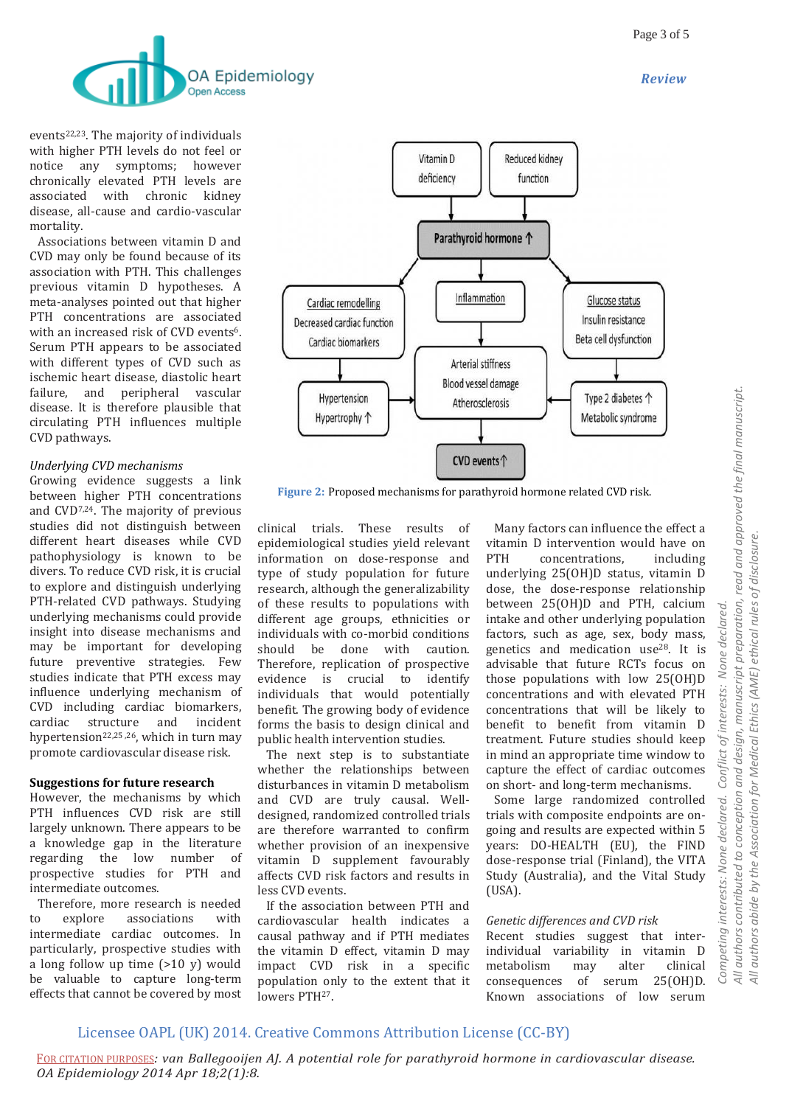*Review*



events<sup>22,23</sup>. The majority of individuals with higher PTH levels do not feel or notice any symptoms; however chronically elevated PTH levels are associated with chronic kidney disease, all-cause and cardio-vascular mortality.

 Associations between vitamin D and CVD may only be found because of its association with PTH. This challenges previous vitamin D hypotheses. A meta-analyses pointed out that higher PTH concentrations are associated with an increased risk of CVD events<sup>6</sup>. Serum PTH appears to be associated with different types of CVD such as ischemic heart disease, diastolic heart failure, and peripheral vascular disease. It is therefore plausible that circulating PTH influences multiple CVD pathways.

## *Underlying CVD mechanisms*

Growing evidence suggests a link between higher PTH concentrations and CVD7,24. The majority of previous studies did not distinguish between different heart diseases while CVD pathophysiology is known to be divers. To reduce CVD risk, it is crucial to explore and distinguish underlying PTH-related CVD pathways. Studying underlying mechanisms could provide insight into disease mechanisms and may be important for developing future preventive strategies. Few studies indicate that PTH excess may influence underlying mechanism of CVD including cardiac biomarkers, cardiac structure and incident hypertension22,25 ,26, which in turn may promote cardiovascular disease risk.

#### **Suggestions for future research**

However, the mechanisms by which PTH influences CVD risk are still largely unknown. There appears to be a knowledge gap in the literature regarding the low number of prospective studies for PTH and intermediate outcomes.

 Therefore, more research is needed to explore associations with intermediate cardiac outcomes. In particularly, prospective studies with a long follow up time (>10 y) would be valuable to capture long-term effects that cannot be covered by most



**Figure 2:** Proposed mechanisms for parathyroid hormone related CVD risk.

clinical trials. These results of epidemiological studies yield relevant information on dose-response and type of study population for future research, although the generalizability of these results to populations with different age groups, ethnicities or individuals with co-morbid conditions should be done with caution. Therefore, replication of prospective evidence is crucial to identify individuals that would potentially benefit. The growing body of evidence forms the basis to design clinical and public health intervention studies.

 The next step is to substantiate whether the relationships between disturbances in vitamin D metabolism and CVD are truly causal. Welldesigned, randomized controlled trials are therefore warranted to confirm whether provision of an inexpensive vitamin D supplement favourably affects CVD risk factors and results in less CVD events.

 If the association between PTH and cardiovascular health indicates a causal pathway and if PTH mediates the vitamin D effect, vitamin D may impact CVD risk in a specific population only to the extent that it lowers PTH27.

 Many factors can influence the effect a vitamin D intervention would have on PTH concentrations, including underlying 25(OH)D status, vitamin D dose, the dose-response relationship between 25(OH)D and PTH, calcium intake and other underlying population factors, such as age, sex, body mass, genetics and medication use28. It is advisable that future RCTs focus on those populations with low 25(OH)D concentrations and with elevated PTH concentrations that will be likely to benefit to benefit from vitamin D treatment. Future studies should keep in mind an appropriate time window to capture the effect of cardiac outcomes on short- and long-term mechanisms.

 Some large randomized controlled trials with composite endpoints are ongoing and results are expected within 5 years: DO-HEALTH (EU), the FIND dose-response trial (Finland), the VITA Study (Australia), and the Vital Study (USA).

## *Genetic differences and CVD risk*

Recent studies suggest that interindividual variability in vitamin D metabolism may alter clinical consequences of serum 25(OH)D. Known associations of low serum

## Licensee OAPL (UK) 2014. Creative Commons Attribution License (CC-BY)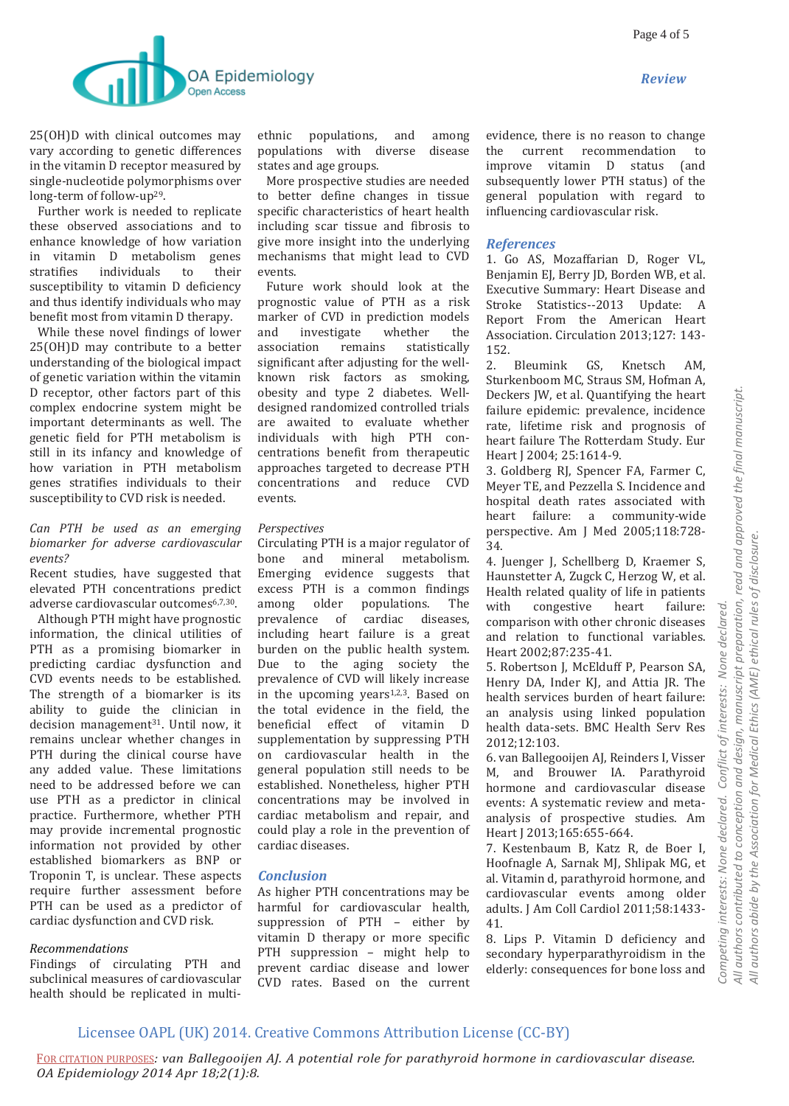*Review*



25(OH)D with clinical outcomes may vary according to genetic differences in the vitamin D receptor measured by single-nucleotide polymorphisms over long-term of follow-up29.

 Further work is needed to replicate these observed associations and to enhance knowledge of how variation in vitamin D metabolism genes stratifies individuals to their susceptibility to vitamin D deficiency and thus identify individuals who may benefit most from vitamin D therapy.

 While these novel findings of lower 25(OH)D may contribute to a better understanding of the biological impact of genetic variation within the vitamin D receptor, other factors part of this complex endocrine system might be important determinants as well. The genetic field for PTH metabolism is still in its infancy and knowledge of how variation in PTH metabolism genes stratifies individuals to their susceptibility to CVD risk is needed.

#### *Can PTH be used as an emerging biomarker for adverse cardiovascular events?*

Recent studies, have suggested that elevated PTH concentrations predict adverse cardiovascular outcomes<sup>6,7,30</sup>.

 Although PTH might have prognostic information, the clinical utilities of PTH as a promising biomarker in predicting cardiac dysfunction and CVD events needs to be established. The strength of a biomarker is its ability to guide the clinician in decision management<sup>31</sup>. Until now, it remains unclear whether changes in PTH during the clinical course have any added value. These limitations need to be addressed before we can use PTH as a predictor in clinical practice. Furthermore, whether PTH may provide incremental prognostic information not provided by other established biomarkers as BNP or Troponin T, is unclear. These aspects require further assessment before PTH can be used as a predictor of cardiac dysfunction and CVD risk.

#### *Recommendations*

Findings of circulating PTH and subclinical measures of cardiovascular health should be replicated in multiethnic populations, and among populations with diverse disease states and age groups.

 More prospective studies are needed to better define changes in tissue specific characteristics of heart health including scar tissue and fibrosis to give more insight into the underlying mechanisms that might lead to CVD events.

 Future work should look at the prognostic value of PTH as a risk marker of CVD in prediction models and investigate whether the association remains statistically significant after adjusting for the wellknown risk factors as smoking, obesity and type 2 diabetes. Welldesigned randomized controlled trials are awaited to evaluate whether individuals with high PTH concentrations benefit from therapeutic approaches targeted to decrease PTH concentrations and reduce CVD events.

#### *Perspectives*

Circulating PTH is a major regulator of bone and mineral metabolism. Emerging evidence suggests that excess PTH is a common findings among older populations. The prevalence of cardiac diseases, including heart failure is a great burden on the public health system. Due to the aging society the prevalence of CVD will likely increase in the upcoming years<sup>1,2,3</sup>. Based on the total evidence in the field, the beneficial effect of vitamin D supplementation by suppressing PTH on cardiovascular health in the general population still needs to be established. Nonetheless, higher PTH concentrations may be involved in cardiac metabolism and repair, and could play a role in the prevention of cardiac diseases.

#### *Conclusion*

As higher PTH concentrations may be harmful for cardiovascular health, suppression of PTH – either by vitamin D therapy or more specific PTH suppression – might help to prevent cardiac disease and lower CVD rates. Based on the current evidence, there is no reason to change the current recommendation to improve vitamin D status (and subsequently lower PTH status) of the general population with regard to influencing cardiovascular risk.

#### *References*

1. Go AS, Mozaffarian D, Roger VL, Benjamin EJ, Berry JD, Borden WB, et al. Executive Summary: Heart Disease and Stroke Statistics--2013 Update: A Report From the American Heart Association. Circulation 2013;127: 143- 152.

2. Bleumink GS, Knetsch AM, Sturkenboom MC, Straus SM, Hofman A, Deckers JW, et al. Quantifying the heart failure epidemic: prevalence, incidence rate, lifetime risk and prognosis of heart failure The Rotterdam Study. Eur Heart J 2004; 25:1614-9.

3. Goldberg RJ, Spencer FA, Farmer C, Meyer TE, and Pezzella S. Incidence and hospital death rates associated with heart failure: a community-wide perspective. Am J Med 2005;118:728- 34.

4. Juenger J, Schellberg D, Kraemer S, Haunstetter A, Zugck C, Herzog W, et al. Health related quality of life in patients with congestive heart failure: comparison with other chronic diseases and relation to functional variables. Heart 2002;87:235-41.

5. Robertson J, McElduff P, Pearson SA, Henry DA, Inder KJ, and Attia JR. The health services burden of heart failure: an analysis using linked population health data-sets. BMC Health Serv Res 2012;12:103.

6. van Ballegooijen AJ, Reinders I, Visser M, and Brouwer IA. Parathyroid hormone and cardiovascular disease events: A systematic review and metaanalysis of prospective studies. Am Heart | 2013;165:655-664.

7. Kestenbaum B, Katz R, de Boer I, Hoofnagle A, Sarnak MJ, Shlipak MG, et al. Vitamin d, parathyroid hormone, and cardiovascular events among older adults. J Am Coll Cardiol 2011;58:1433- 41.

8. Lips P. Vitamin D deficiency and secondary hyperparathyroidism in the elderly: consequences for bone loss and

## Licensee OAPL (UK) 2014. Creative Commons Attribution License (CC-BY)